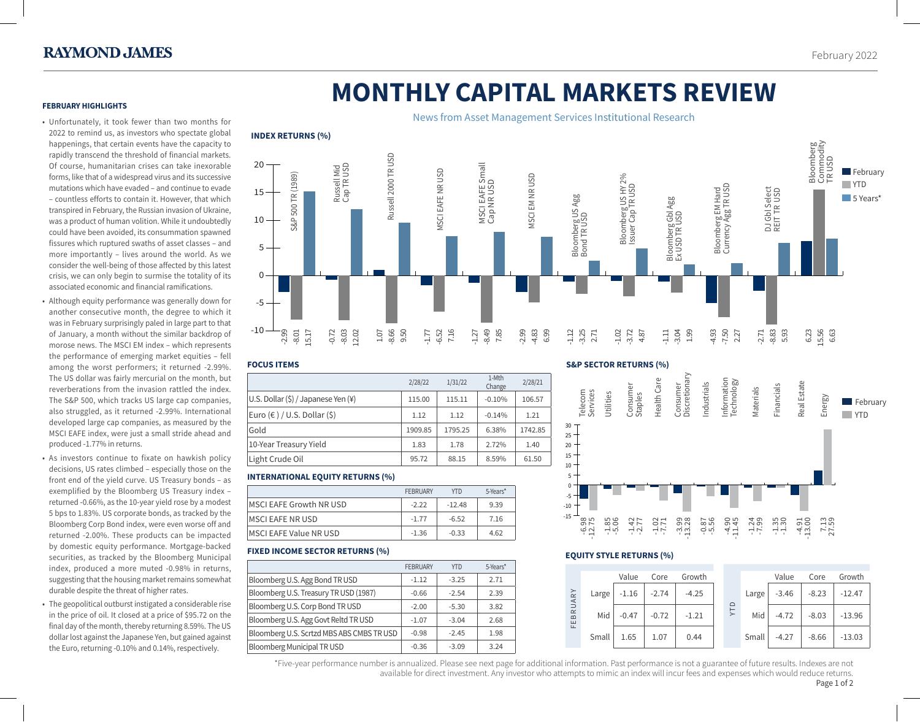**February** YTD 5 Years\*

# **MONTHLY CAPITAL MARKETS REVIEW**

## **FEBRUARY HIGHLIGHTS**

- Unfortunately, it took fewer than two months for 2022 to remind us, as investors who spectate global happenings, that certain events have the capacity to rapidly transcend the threshold of financial markets. Of course, humanitarian crises can take inexorable forms, like that of a widespread virus and its successive mutations which have evaded – and continue to evade – countless efforts to contain it. However, that which transpired in February, the Russian invasion of Ukraine, was a product of human volition. While it undoubtedly could have been avoided, its consummation spawned fissures which ruptured swaths of asset classes – and more importantly – lives around the world. As we consider the well-being of those affected by this latest crisis, we can only begin to surmise the totality of its associated economic and financial ramifications.
- Although equity performance was generally down for another consecutive month, the degree to which it was in February surprisingly paled in large part to that of January, a month without the similar backdrop of morose news. The MSCI EM index – which represents the performance of emerging market equities – fell among the worst performers; it returned -2.99%. The US dollar was fairly mercurial on the month, but reverberations from the invasion rattled the index. The S&P 500, which tracks US large cap companies, also struggled, as it returned -2.99%. International developed large cap companies, as measured by the MSCI EAFE index, were just a small stride ahead and produced -1.77% in returns.
- As investors continue to fixate on hawkish policy decisions, US rates climbed – especially those on the front end of the yield curve. US Treasury bonds – as exemplified by the Bloomberg US Treasury index – returned -0.66%, as the 10-year yield rose by a modest 5 bps to 1.83%. US corporate bonds, as tracked by the Bloomberg Corp Bond index, were even worse off and returned -2.00%. These products can be impacted by domestic equity performance. Mortgage-backed securities, as tracked by the Bloomberg Municipal index, produced a more muted -0.98% in returns, suggesting that the housing market remains somewhat durable despite the threat of higher rates.
- The geopolitical outburst instigated a considerable rise in the price of oil. It closed at a price of \$95.72 on the final day of the month, thereby returning 8.59%. The US dollar lost against the Japanese Yen, but gained against the Euro, returning -0.10% and 0.14%, respectively.

#### News from Asset Management Services Institutional Research **INDEX RETURNS (%)**  Bloomberg<br>Commodity<br>TR USD Commodity Bloomberg Russell 2000 TR USD Russell 2000 TR USD Russell Mid<br>Cap TR USD MSCI EAFE Small<br>Cap NR USD MSCI EAFE Small Russell Mid Cap TR USD **ASCI EAFE NR USD** MSCI EAFE NR USD S&P 500 TR (1989) S&P 500 TR (1989) **VISCI EM NR USD** Bloomberg US HY 2%<br>Issuer Cap TR USD Bloomberg US HY 2% MSCI EM NR USD Cap NR USD Bloomberg EM Hard<br>Currency Agg TR USD Issuer Cap TR USD Currency Agg TR USD DJ Gbl Select<br>REIT TR USD Bloomberg EM Hard DJ Gbl Select REIT TR USD Bloomberg US Agg<br>Bond TR USD Bloomberg US Agg Bloomberg Gbl Agg Bloomberg Gbl Agg<br>Ex USD TR USD Ex USD TR USDBond TR USD



## **FOCUS ITEMS**

 $-10$ 

-5

 $\Omega$ 

10

15

20

|                                                    | 2/28/22 | 1/31/22 | 1-Mth<br>Change | 2/28/21 |
|----------------------------------------------------|---------|---------|-----------------|---------|
| U.S. Dollar $(\xi)$ / Japanese Yen $(\frac{1}{2})$ | 115.00  | 115.11  | $-0.10%$        | 106.57  |
| Euro $(\epsilon)$ / U.S. Dollar $(\xi)$            | 1.12    | 1.12    | $-0.14%$        | 1.21    |
| Gold                                               | 1909.85 | 1795.25 | 6.38%           | 1742.85 |
| 10-Year Treasury Yield                             | 1.83    | 1.78    | 2.72%           | 1.40    |
| Light Crude Oil                                    | 95.72   | 88.15   | 8.59%           | 61.50   |

#### **INTERNATIONAL EQUITY RETURNS (%)**

|                          | <b>FEBRUARY</b> | <b>YTD</b> | 5-Years* |
|--------------------------|-----------------|------------|----------|
| MSCI EAFE Growth NR USD  | $-2.22$         | $-12.48$   | 9.39     |
| <b>IMSCI EAFE NR USD</b> | $-1.77$         | $-6.52$    | 7.16     |
| MSCI EAFE Value NR USD   | $-1.36$         | $-0.33$    | 4.62     |

## **FIXED INCOME SECTOR RETURNS (%)**

|                                           | <b>FEBRUARY</b> | <b>YTD</b> | 5-Years* |
|-------------------------------------------|-----------------|------------|----------|
| Bloomberg U.S. Agg Bond TR USD            | $-1.12$         | $-3.25$    | 2.71     |
| Bloomberg U.S. Treasury TR USD (1987)     | $-0.66$         | $-2.54$    | 2.39     |
| Bloomberg U.S. Corp Bond TR USD           | $-2.00$         | $-5.30$    | 3.82     |
| Bloomberg U.S. Agg Govt Reltd TR USD      | $-1.07$         | $-3.04$    | 2.68     |
| Bloomberg U.S. Scrtzd MBS ABS CMBS TR USD | $-0.98$         | $-2.45$    | 1.98     |
| <b>Bloomberg Municipal TR USD</b>         | $-0.36$         | $-3.09$    | 3.24     |

### **S&P SECTOR RETURNS (%)**



## **EQUITY STYLE RETURNS (%)**

|                                       |       | Value   | Core    | Growth  |  |                                      |       | Value   | Core    | Growth   |
|---------------------------------------|-------|---------|---------|---------|--|--------------------------------------|-------|---------|---------|----------|
| BRUARY<br>ш<br>$\mathsf{L}\mathsf{L}$ | Large | $-1.16$ | $-2.74$ | $-4.25$ |  | $\Omega$<br>$\overline{\overline{}}$ | Large | $-3.46$ | $-8.23$ | $-12.47$ |
|                                       | Mid   | $-0.47$ | $-0.72$ | $-1.21$ |  |                                      | Mid   | $-4.72$ | $-8.03$ | $-13.96$ |
|                                       | Small | 1.65    | 1.07    | 0.44    |  |                                      | Small | $-4.27$ | $-8.66$ | $-13.03$ |

\*Five-year performance number is annualized. Please see next page for additional information. Past performance is not a guarantee of future results. Indexes are not 1 available for direct investment. Any investor who attempts to mimic an index will incur fees and expenses which would reduce returns. Page 1 of 2